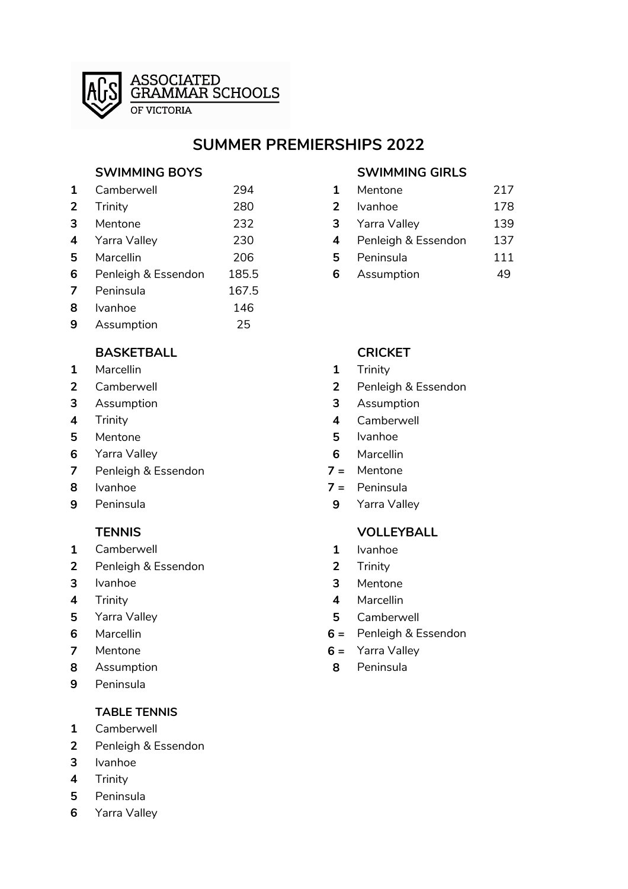

## **SUMMER PREMIERSHIPS 2022**

### **SWIMMING BOYS SWIMMING GIRLS**

| $\mathbf{1}$            | Camberwell          | 294   |   | Mentone             | 217 |
|-------------------------|---------------------|-------|---|---------------------|-----|
| 2 <sup>1</sup>          | Trinity             | 280   | 2 | <b>Ivanhoe</b>      | 178 |
| 3                       | Mentone             | 232   | 3 | Yarra Valley        | 139 |
| $\overline{\mathbf{4}}$ | Yarra Valley        | 230   | 4 | Penleigh & Essendon | 137 |
| 5                       | Marcellin           | 206   | 5 | Peninsula           | 111 |
| 6                       | Penleigh & Essendon | 185.5 | 6 | Assumption          | 49  |
| $\mathbf{7}$            | Peninsula           | 167.5 |   |                     |     |
| 8                       | <b>Ivanhoe</b>      | 146   |   |                     |     |
| 9                       | Assumption          | 25    |   |                     |     |
|                         |                     |       |   |                     |     |

**ASSOCIATED** 

OF VICTORIA

**GRAMMAR SCHOOLS** 

### **BASKETBALL CRICKET**

- Marcellin **1** Trinity
- 
- Assumption **3** Assumption
- 
- Mentone **5** Ivanhoe
- Yarra Valley **6** Marcellin
- Penleigh & Essendon **7 =** Mentone
- 
- 

- Camberwell **1** Ivanhoe
- Penleigh & Essendon **2** Trinity
- 
- 
- 
- 
- 
- Assumption **8** Peninsula
- Peninsula

### **TABLE TENNIS**

- Camberwell
- Penleigh & Essendon
- Ivanhoe
- Trinity
- Peninsula
- Yarra Valley

| 1 | Mentone             | 217 |
|---|---------------------|-----|
| 2 | Ivanhoe             | 178 |
| 3 | Yarra Valley        | 139 |
| 4 | Penleigh & Essendon | 137 |
| 5 | Peninsula           | 111 |
| 6 | Assumption          | 49  |

- 
- Camberwell **2** Penleigh & Essendon
	-
- Trinity **4** Camberwell
	-
	-
	-
- Ivanhoe **7 =** Peninsula
- Peninsula **9** Yarra Valley

### **TENNIS VOLLEYBALL**

- 
- 
- Ivanhoe **3** Mentone
- Trinity **4** Marcellin
- Yarra Valley **5** Camberwell
- Marcellin **6 =** Penleigh & Essendon
- Mentone **6 =** Yarra Valley
	-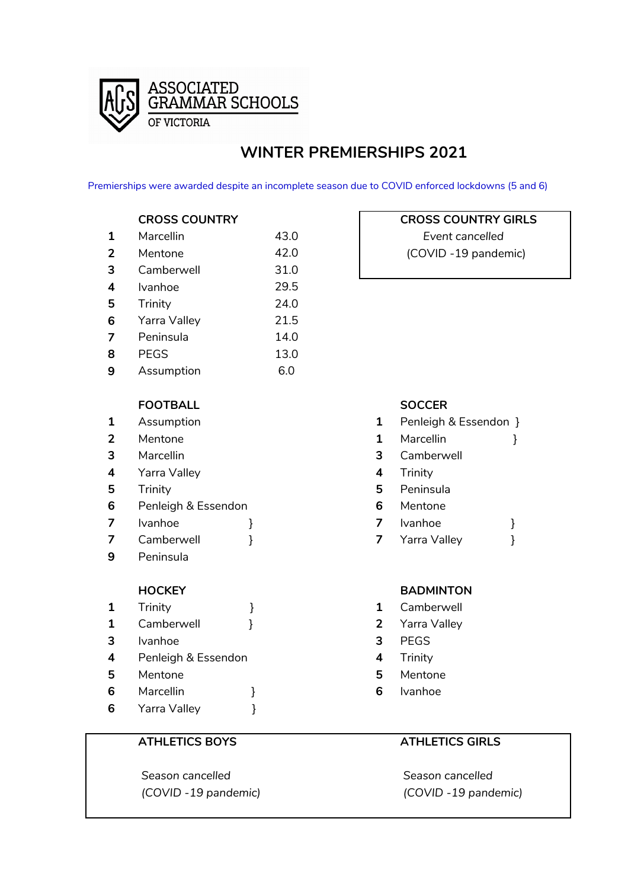

# **WINTER PREMIERSHIPS 2021**

Premierships were awarded despite an incomplete season due to COVID enforced lockdowns (5 and 6)

| 1 | Marcellin    | 43.0 |
|---|--------------|------|
| 2 | Mentone      | 42.0 |
| 3 | Camberwell   | 31.0 |
| 4 | Ivanhoe      | 29.5 |
| 5 | Trinity      | 24.0 |
| 6 | Yarra Valley | 21.5 |
| 7 | Peninsula    | 14.0 |
| 8 | <b>PEGS</b>  | 13.0 |
| 9 | Assumption   | 6.0  |

### **FOOTBALL SOCCER**

- 
- 
- 
- Yarra Valley **4** Trinity
- 
- Penleigh & Essendon **6** Mentone
- 
- 
- Peninsula
	-

| $\mathbf{1}$   | Trinity             |  |   | Camb        |
|----------------|---------------------|--|---|-------------|
| $\mathbf{1}$   | Camberwell          |  |   | 2 Yarra     |
| 3              | <b>Ivanhoe</b>      |  | 3 | <b>PEGS</b> |
| $\overline{4}$ | Penleigh & Essendon |  | 4 | Trinity     |
| 5              | Mentone             |  | 5 | Mento       |
| 6              | Marcellin           |  | 6 | Ivanho      |
| 6              | Yarra Valley        |  |   |             |

 *Season cancelled Season cancelled (COVID -19 pandemic) (COVID -19 pandemic)*

## **CROSS COUNTRY CROSS COUNTRY GIRLS**

**Event cancelled (COVID -19 pandemic)** 

- Assumption **1** Penleigh & Essendon }
- Mentone **1** Marcellin }
- Marcellin **3** Camberwell
	-
- Trinity **5** Peninsula
	-
- Ivanhoe } **7** Ivanhoe }
- Camberwell } **7** Yarra Valley }

### **HOCKEY BADMINTON**

- Camberwell
- Yarra Valley
- 
- 
- Mentone **5** Mentone
- Ivanhoe

### **ATHLETICS BOYS ATHLETICS GIRLS**